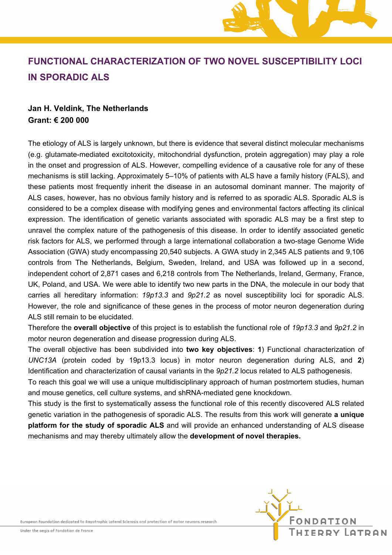# **FUNCTIONAL CHARACTERIZATION OF TWO NOVEL SUSCEPTIBILITY LOCI IN SPORADIC ALS**

## **Jan H. Veldink, The Netherlands Grant: € 200 000**

The etiology of ALS is largely unknown, but there is evidence that several distinct molecular mechanisms (e.g. glutamate-mediated excitotoxicity, mitochondrial dysfunction, protein aggregation) may play a role in the onset and progression of ALS. However, compelling evidence of a causative role for any of these mechanisms is still lacking. Approximately 5–10% of patients with ALS have a family history (FALS), and these patients most frequently inherit the disease in an autosomal dominant manner. The majority of ALS cases, however, has no obvious family history and is referred to as sporadic ALS. Sporadic ALS is considered to be a complex disease with modifying genes and environmental factors affecting its clinical expression. The identification of genetic variants associated with sporadic ALS may be a first step to unravel the complex nature of the pathogenesis of this disease. In order to identify associated genetic risk factors for ALS, we performed through a large international collaboration a two-stage Genome Wide Association (GWA) study encompassing 20,540 subjects. A GWA study in 2,345 ALS patients and 9,106 controls from The Netherlands, Belgium, Sweden, Ireland, and USA was followed up in a second, independent cohort of 2,871 cases and 6,218 controls from The Netherlands, Ireland, Germany, France, UK, Poland, and USA. We were able to identify two new parts in the DNA, the molecule in our body that carries all hereditary information: *19p13.3* and *9p21.2* as novel susceptibility loci for sporadic ALS. However, the role and significance of these genes in the process of motor neuron degeneration during ALS still remain to be elucidated.

Therefore the **overall objective** of this project is to establish the functional role of *19p13.3* and *9p21.2* in motor neuron degeneration and disease progression during ALS.

The overall objective has been subdivided into **two key objectives**: **1**) Functional characterization of *UNC13A* (protein coded by 19p13.3 locus) in motor neuron degeneration during ALS, and **2**) Identification and characterization of causal variants in the *9p21.2* locus related to ALS pathogenesis.

To reach this goal we will use a unique multidisciplinary approach of human postmortem studies, human and mouse genetics, cell culture systems, and shRNA-mediated gene knockdown.

This study is the first to systematically assess the functional role of this recently discovered ALS related genetic variation in the pathogenesis of sporadic ALS. The results from this work will generate **a unique platform for the study of sporadic ALS** and will provide an enhanced understanding of ALS disease mechanisms and may thereby ultimately allow the **development of novel therapies.**

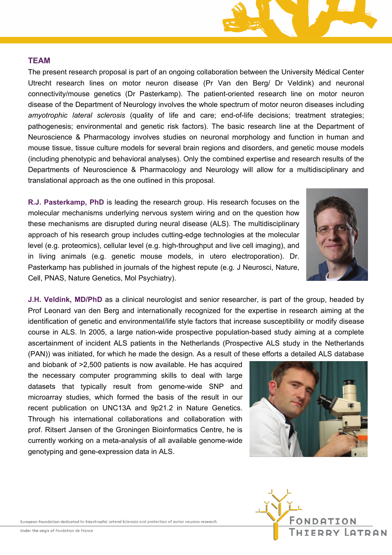

### **TEAM**

The present research proposal is part of an ongoing collaboration between the University Médical Center Utrecht research lines on motor neuron disease (Pr Van den Berg/ Dr Veldink) and neuronal connectivity/mouse genetics (Dr Pasterkamp). The patient-oriented research line on motor neuron disease of the Department of Neurology involves the whole spectrum of motor neuron diseases including *amyotrophic lateral sclerosis* (quality of life and care; end-of-life decisions; treatment strategies; pathogenesis; environmental and genetic risk factors). The basic research line at the Department of Neuroscience & Pharmacology involves studies on neuronal morphology and function in human and mouse tissue, tissue culture models for several brain regions and disorders, and genetic mouse models (including phenotypic and behavioral analyses). Only the combined expertise and research results of the Departments of Neuroscience & Pharmacology and Neurology will allow for a multidisciplinary and translational approach as the one outlined in this proposal.

**R.J. Pasterkamp, PhD** is leading the research group. His research focuses on the molecular mechanisms underlying nervous system wiring and on the question how these mechanisms are disrupted during neural disease (ALS). The multidisciplinary approach of his research group includes cutting-edge technologies at the molecular level (e.g. proteomics), cellular level (e.g. high-throughput and live cell imaging), and in living animals (e.g. genetic mouse models, in utero electroporation). Dr. Pasterkamp has published in journals of the highest repute (e.g. J Neurosci, Nature, Cell, PNAS, Nature Genetics, Mol Psychiatry).

**J.H. Veldink, MD/PhD** as a clinical neurologist and senior researcher, is part of the group, headed by Prof Leonard van den Berg and internationally recognized for the expertise in research aiming at the identification of genetic and environmental/life style factors that increase susceptibility or modify disease course in ALS. In 2005, a large nation-wide prospective population-based study aiming at a complete ascertainment of incident ALS patients in the Netherlands (Prospective ALS study in the Netherlands (PAN)) was initiated, for which he made the design. As a result of these efforts a detailed ALS database

and biobank of >2,500 patients is now available. He has acquired the necessary computer programming skills to deal with large datasets that typically result from genome-wide SNP and microarray studies, which formed the basis of the result in our recent publication on UNC13A and 9p21.2 in Nature Genetics. Through his international collaborations and collaboration with prof. Ritsert Jansen of the Groningen Bioinformatics Centre, he is currently working on a meta-analysis of all available genome-wide genotyping and gene-expression data in ALS.